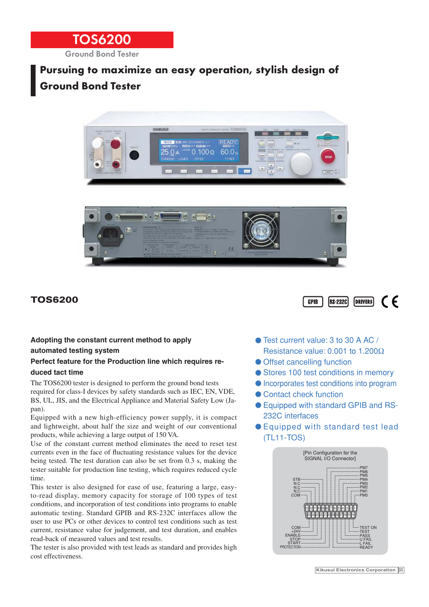

## **Pursuing to maximize an easy operation, stylish design of Ground Bond Tester**





## **TOS6200**



#### **Adopting the constant current method to apply automated testing system**

#### **Perfect feature for the Production line which requires reduced tact time**

The TOS6200 tester is designed to perform the ground bond tests required for class-I devices by safety standards such as IEC, EN, VDE, BS, UL, JIS, and the Electrical Appliance and Material Safety Low (Japan).

Equipped with a new high-efficiency power supply, it is compact and lightweight, about half the size and weight of our conventional products, while achieving a large output of 150 VA.

Use of the constant current method eliminates the need to reset test currents even in the face of fluctuating resistance values for the device being tested. The test duration can also be set from 0.3 s, making the tester suitable for production line testing, which requires reduced cycle time.

This tester is also designed for ease of use, featuring a large, easyto-read display, memory capacity for storage of 100 types of test conditions, and incorporation of test conditions into programs to enable automatic testing. Standard GPIB and RS-232C interfaces allow the user to use PCs or other devices to control test conditions such as test current, resistance value for judgement, and test duration, and enables read-back of measured values and test results.

The tester is also provided with test leads as standard and provides high cost effectiveness.

- Test current value: 3 to 30 A AC / Resistance value: 0.001 to 1.200Ω
- Offset cancelling function
- Stores 100 test conditions in memory
- Incorporates test conditions into program
- Contact check function
- Equipped with standard GPIB and RS-232C interfaces
- Equipped with standard test lead (TL11-TOS)